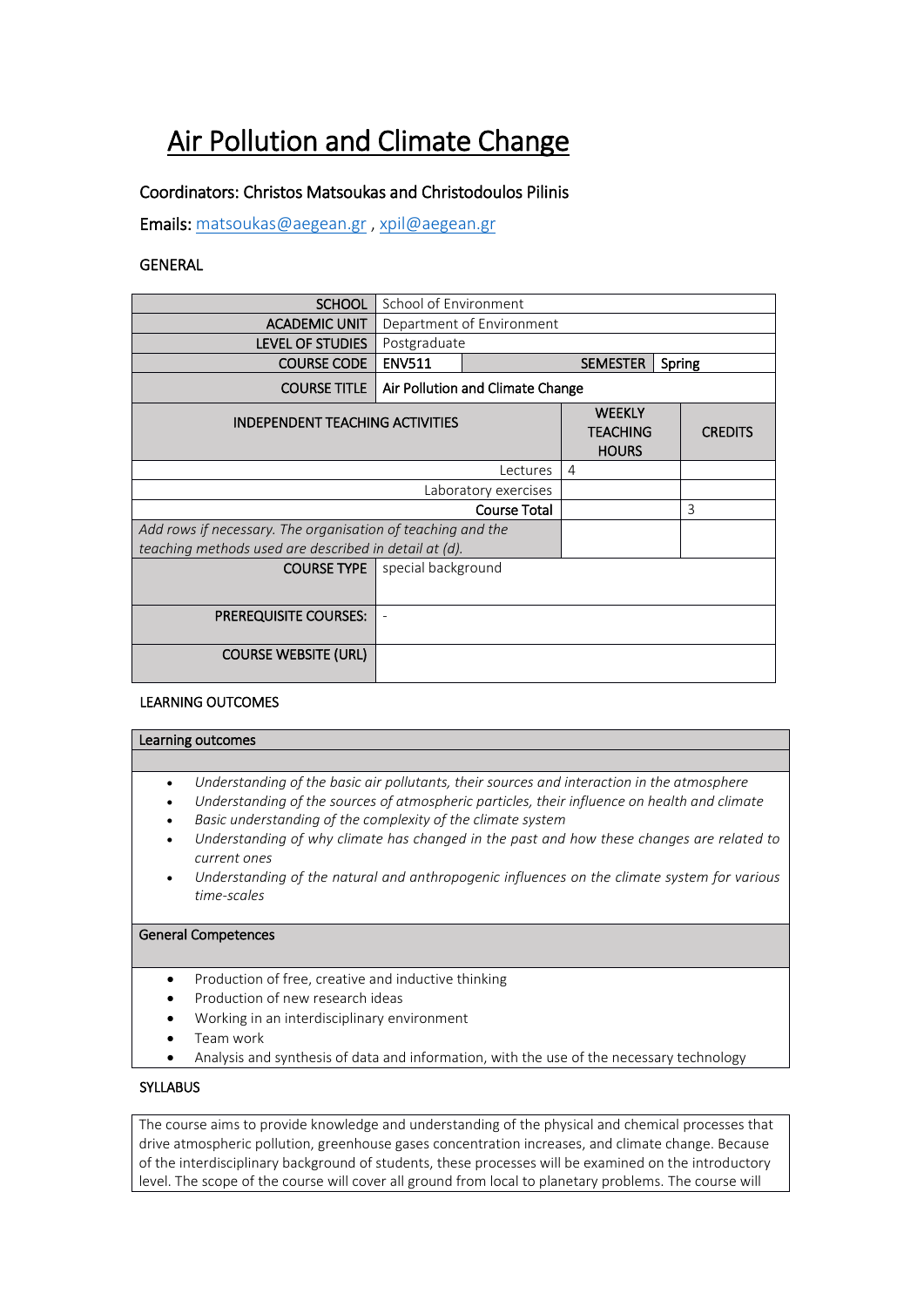# Air Pollution and Climate Change

## Coordinators: Christos Matsoukas and Christodoulos Pilinis

Emails: [matsoukas@aegean.gr](mailto:matsoukas@aegean.gr) [, xpil@aegean.gr](mailto:xpil@aegean.gr)

### GENERAL

| <b>SCHOOL</b>                                               | School of Environment            |                                                  |                |   |  |
|-------------------------------------------------------------|----------------------------------|--------------------------------------------------|----------------|---|--|
| <b>ACADEMIC UNIT</b>                                        | Department of Environment        |                                                  |                |   |  |
| <b>LEVEL OF STUDIES</b>                                     | Postgraduate                     |                                                  |                |   |  |
| <b>COURSE CODE</b>                                          | <b>ENV511</b>                    | <b>SEMESTER</b><br>Spring                        |                |   |  |
| <b>COURSE TITLE</b>                                         | Air Pollution and Climate Change |                                                  |                |   |  |
| <b>INDEPENDENT TEACHING ACTIVITIES</b>                      |                                  | <b>WEEKLY</b><br><b>TEACHING</b><br><b>HOURS</b> | <b>CREDITS</b> |   |  |
| Lectures                                                    |                                  |                                                  | 4              |   |  |
| Laboratory exercises                                        |                                  |                                                  |                |   |  |
| <b>Course Total</b>                                         |                                  |                                                  |                | 3 |  |
| Add rows if necessary. The organisation of teaching and the |                                  |                                                  |                |   |  |
| teaching methods used are described in detail at (d).       |                                  |                                                  |                |   |  |
| <b>COURSE TYPE</b>                                          | special background               |                                                  |                |   |  |
| <b>PREREQUISITE COURSES:</b>                                |                                  |                                                  |                |   |  |
| <b>COURSE WEBSITE (URL)</b>                                 |                                  |                                                  |                |   |  |

#### LEARNING OUTCOMES

# Learning outcomes

- *Understanding of the basic air pollutants, their sources and interaction in the atmosphere*
- *Understanding of the sources of atmospheric particles, their influence on health and climate*
- *Basic understanding of the complexity of the climate system*
- *Understanding of why climate has changed in the past and how these changes are related to current ones*
- *Understanding of the natural and anthropogenic influences on the climate system for various time-scales*

### General Competences

- Production of free, creative and inductive thinking
- Production of new research ideas
- Working in an interdisciplinary environment
- Team work
- Analysis and synthesis of data and information, with the use of the necessary technology

### **SYLLABUS**

The course aims to provide knowledge and understanding of the physical and chemical processes that drive atmospheric pollution, greenhouse gases concentration increases, and climate change. Because of the interdisciplinary background of students, these processes will be examined on the introductory level. The scope of the course will cover all ground from local to planetary problems. The course will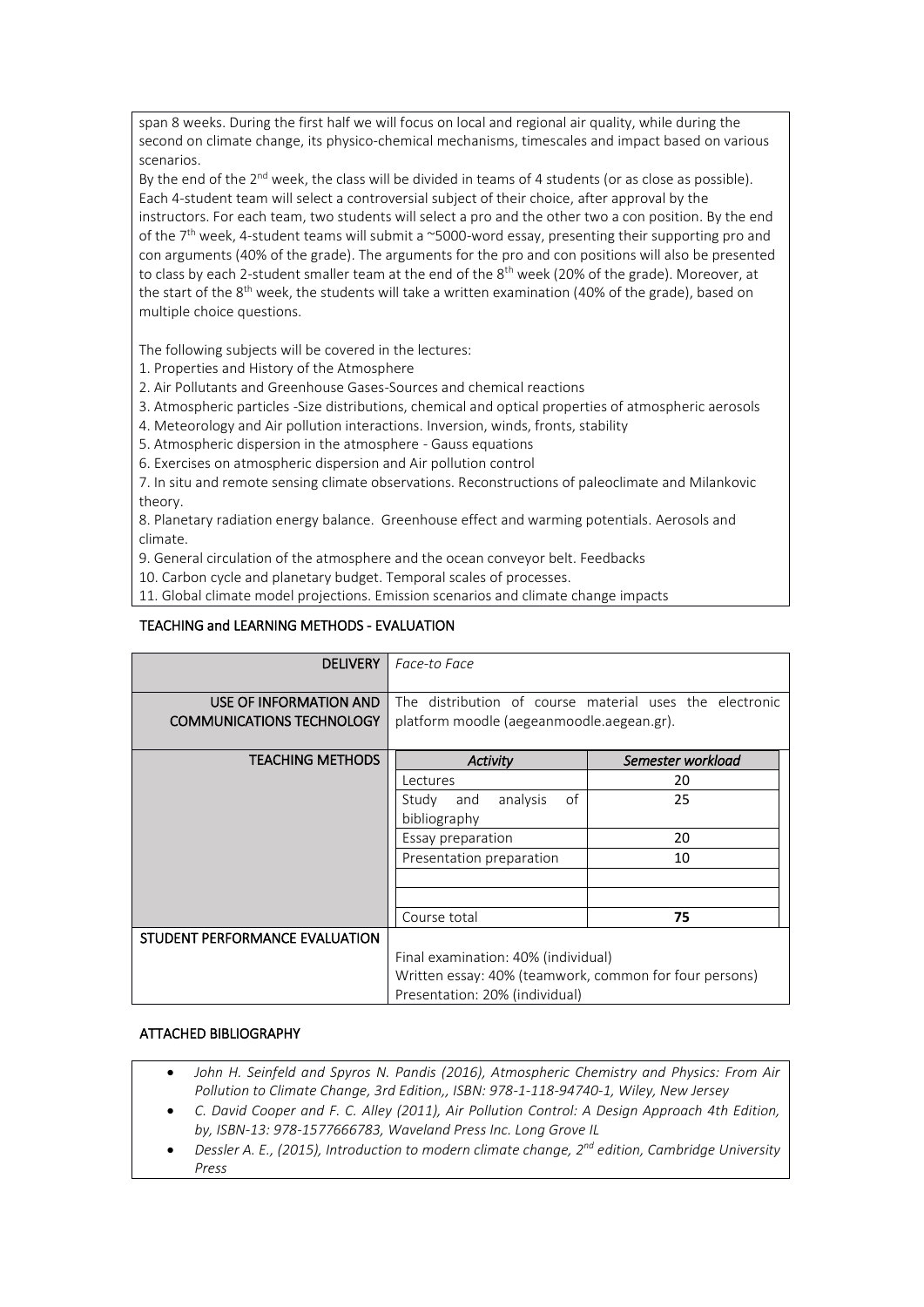span 8 weeks. During the first half we will focus on local and regional air quality, while during the second on climate change, its physico-chemical mechanisms, timescales and impact based on various scenarios.

By the end of the  $2^{nd}$  week, the class will be divided in teams of 4 students (or as close as possible). Each 4-student team will select a controversial subject of their choice, after approval by the instructors. For each team, two students will select a pro and the other two a con position. By the end of the 7<sup>th</sup> week, 4-student teams will submit a  $\sim$  5000-word essay, presenting their supporting pro and con arguments (40% of the grade). The arguments for the pro and con positions will also be presented to class by each 2-student smaller team at the end of the 8<sup>th</sup> week (20% of the grade). Moreover, at the start of the  $8<sup>th</sup>$  week, the students will take a written examination (40% of the grade), based on multiple choice questions.

The following subjects will be covered in the lectures:

1. Properties and History of the Atmosphere

2. Air Pollutants and Greenhouse Gases-Sources and chemical reactions

3. Atmospheric particles -Size distributions, chemical and optical properties of atmospheric aerosols

- 4. Meteorology and Air pollution interactions. Inversion, winds, fronts, stability
- 5. Atmospheric dispersion in the atmosphere Gauss equations

6. Exercises on atmospheric dispersion and Air pollution control

7. In situ and remote sensing climate observations. Reconstructions of paleoclimate and Milankovic theory.

8. Planetary radiation energy balance. Greenhouse effect and warming potentials. Aerosols and climate.

9. General circulation of the atmosphere and the ocean conveyor belt. Feedbacks

10. Carbon cycle and planetary budget. Temporal scales of processes.

11. Global climate model projections. Emission scenarios and climate change impacts

### TEACHING and LEARNING METHODS - EVALUATION

| <b>DELIVERY</b>                  | Face-to Face                                            |                   |  |  |
|----------------------------------|---------------------------------------------------------|-------------------|--|--|
|                                  |                                                         |                   |  |  |
| USE OF INFORMATION AND           | The distribution of course material uses the electronic |                   |  |  |
| <b>COMMUNICATIONS TECHNOLOGY</b> | platform moodle (aegeanmoodle.aegean.gr).               |                   |  |  |
|                                  |                                                         |                   |  |  |
| <b>TEACHING METHODS</b>          | Activity                                                | Semester workload |  |  |
|                                  | Lectures                                                | 20                |  |  |
|                                  | analysis<br>of<br>Study<br>and                          | 25                |  |  |
|                                  | bibliography                                            |                   |  |  |
|                                  | Essay preparation                                       | 20                |  |  |
|                                  | Presentation preparation                                | 10                |  |  |
|                                  |                                                         |                   |  |  |
|                                  |                                                         |                   |  |  |
|                                  | Course total                                            | 75                |  |  |
| STUDENT PERFORMANCE EVALUATION   |                                                         |                   |  |  |
|                                  | Final examination: 40% (individual)                     |                   |  |  |
|                                  | Written essay: 40% (teamwork, common for four persons)  |                   |  |  |
|                                  | Presentation: 20% (individual)                          |                   |  |  |

### ATTACHED BIBLIOGRAPHY

- *John H. Seinfeld and Spyros N. Pandis (2016), Atmospheric Chemistry and Physics: From Air Pollution to Climate Change, 3rd Edition,, ISBN: 978-1-118-94740-1, Wiley, New Jersey*
- *C. David Cooper and F. C. Alley (2011), Air Pollution Control: A Design Approach 4th Edition, by, ISBN-13: 978-1577666783, Waveland Press Inc. Long Grove IL*
- *Dessler A. E., (2015), Introduction to modern climate change, 2 nd edition, Cambridge University Press*